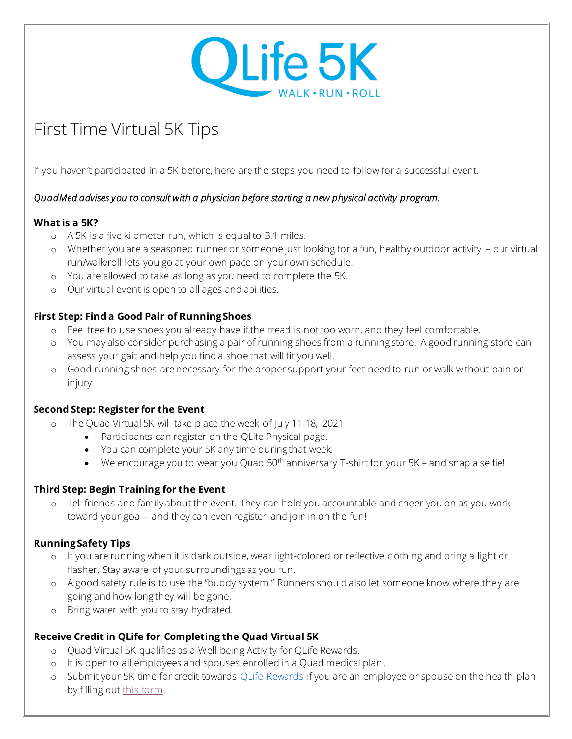

# First Time Virtual 5K Tips

If you haven't participated in a 5K before, here are the steps you need to follow for a successful event.

#### *QuadMed advises you to consult with a physician before starting a new physical activity program.*

## **What is a 5K?**

- o A 5K is a five kilometer run, which is equal to 3.1 miles.
- o Whether you are a seasoned runner or someone just looking for a fun, healthy outdoor activity our virtual run/walk/roll lets you go at your own pace on your own schedule.
- o You are allowed to take as long as you need to complete the 5K.
- o Our virtual event is open to all ages and abilities.

## **First Step: Find a Good Pair of Running Shoes**

- o Feel free to use shoes you already have if the tread is not too worn, and they feel comfortable.
- o You may also consider purchasing a pair of running shoes from a running store. A good running store can assess your gait and help you find a shoe that will fit you well.
- o Good running shoes are necessary for the proper support your feet need to run or walk without pain or injury.

#### **Second Step: Register for the Event**

- o The Quad Virtual 5K will take place the week of July 11-18, 2021
	- Participants can register on the QLife Physical page.
	- You can complete your 5K any time during that week.
	- We encourage you to wear you Quad  $50<sup>th</sup>$  anniversary T-shirt for your  $5K$  and snap a selfie!

#### **Third Step: Begin Training for the Event**

o Tell friends and family about the event. They can hold you accountable and cheer you on as you work toward your goal – and they can even register and join in on the fun!

# **Running Safety Tips**

- o If you are running when it is dark outside, wear light-colored or reflective clothing and bring a light or flasher. Stay aware of your surroundings as you run.
- o A good safety rule is to use the "buddy system." Runners should also let someone know where they are going and how long they will be gone.
- o Bring water with you to stay hydrated.

# **Receive Credit in QLife for Completing the Quad Virtual 5K**

- o Quad Virtual 5K qualifies as a Well-being Activity for QLife Rewards.
- o It is open to all employees and spouses enrolled in a Quad medical plan.
- o Submit your 5K time for credit towards OLife Rewards if you are an employee or spouse on the health plan by filling ou[t this form.](https://quadmedical.jotform.com/211460443348148)